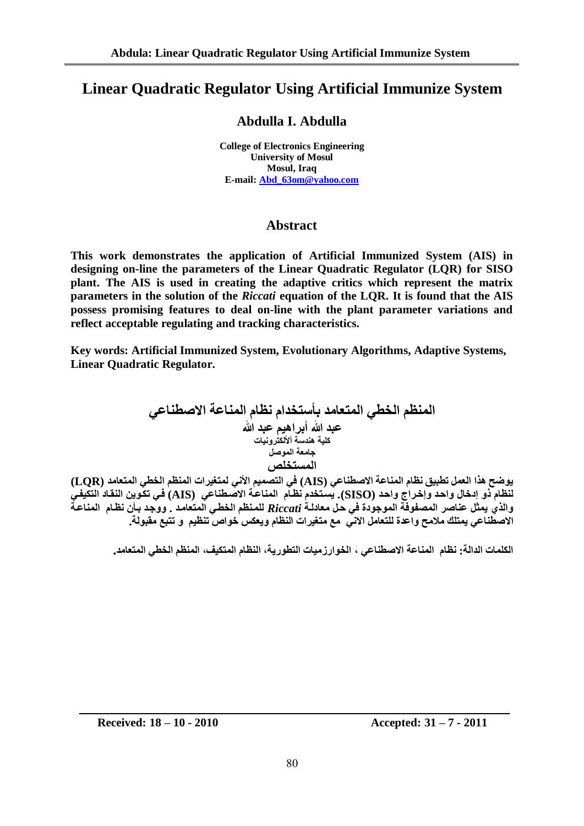# **Linear Quadratic Regulator Using Artificial Immunize System**

# **Abdulla I. Abdulla**

**College of Electronics Engineering University of Mosul Mosul, Iraq E-mail: [Abd\\_63om@yahoo.com](mailto:Abd_63om@yahoo.com)**

# **Abstract**

**This work demonstrates the application of Artificial Immunized System (AIS) in designing on-line the parameters of the Linear Quadratic Regulator (LQR) for SISO plant. The AIS is used in creating the adaptive critics which represent the matrix parameters in the solution of the** *Riccati* **equation of the LQR. It is found that the AIS possess promising features to deal on-line with the plant parameter variations and reflect acceptable regulating and tracking characteristics.**

**Key words: Artificial Immunized System, Evolutionary Algorithms, Adaptive Systems, Linear Quadratic Regulator.**

**انًُظى انخطي انًتعايذ بأستخذاو َظاو انًُاعت االصطُاعي عبذ هللا أبشاهيى عبذ هللا كهيت هُذست أألنكتشوَياث جايعت انًوصم انًستخهص**

**يوضح هزا انعًم تطبيق َظاو انًُاعت االصطُاعي (AIS (في انتصًيى األَي نًتغيشاث انًُظى انخطي انًتعايذ (LQR( نُظاو رو إدخال واحدذ وإخدشا واحدذ (SISO(. يسدتخذو َظداو انًُاعدت االصدطُاعي (AIS (فدي تكدويٍ انُقداد انتكييدي** والذي يمثل عناصر المصفوفة الموجودة في حل معادلـة *Riccati* للمنظم الخطـي المتعامد . ووجد بـأن نظـام المناعـةُ الاصطُناعي يمتلك ملامح واعدة للتعامل الاني مع متغيرات النظام ويعكس خواص تنظيم و تتبع مقبولة.

الكلمات الدالة: نظام المناعة الاصطناعي ، الخوارزميات التطورية، النظام المتكيف، المنظم الخطي المتعامد.

**Received: 18 – 10 - 2010 Accepted: 31 – 7 - 2011**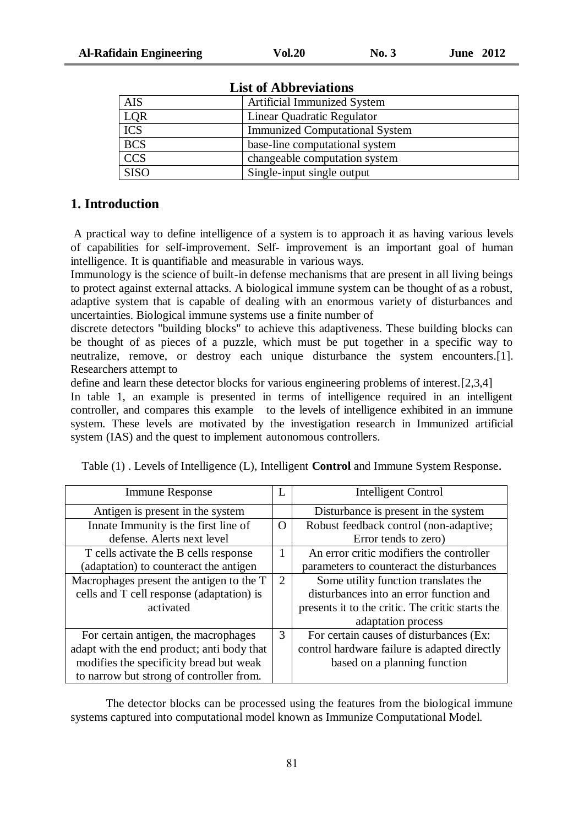| <b>AIS</b>       | Artificial Immunized System           |
|------------------|---------------------------------------|
| LQR              | Linear Quadratic Regulator            |
| <b>ICS</b>       | <b>Immunized Computational System</b> |
| <b>BCS</b>       | base-line computational system        |
| $\overline{CCS}$ | changeable computation system         |
| <b>SISO</b>      | Single-input single output            |

**List of Abbreviations**

# **1. Introduction**

A practical way to define intelligence of a system is to approach it as having various levels of capabilities for self-improvement. Self- improvement is an important goal of human intelligence. It is quantifiable and measurable in various ways.

Immunology is the science of built-in defense mechanisms that are present in all living beings to protect against external attacks. A biological immune system can be thought of as a robust, adaptive system that is capable of dealing with an enormous variety of disturbances and uncertainties. Biological immune systems use a finite number of

discrete detectors "building blocks" to achieve this adaptiveness. These building blocks can be thought of as pieces of a puzzle, which must be put together in a specific way to neutralize, remove, or destroy each unique disturbance the system encounters. [1]. Researchers attempt to

define and learn these detector blocks for various engineering problems of interest.[2,3,4]

In table 1, an example is presented in terms of intelligence required in an intelligent controller, and compares this example to the levels of intelligence exhibited in an immune system. These levels are motivated by the investigation research in Immunized artificial system (IAS) and the quest to implement autonomous controllers.

| <b>Immune Response</b>                     | L            | <b>Intelligent Control</b>                       |
|--------------------------------------------|--------------|--------------------------------------------------|
| Antigen is present in the system           |              | Disturbance is present in the system             |
| Innate Immunity is the first line of       | $\Omega$     | Robust feedback control (non-adaptive;           |
| defense. Alerts next level                 |              | Error tends to zero)                             |
| T cells activate the B cells response      | $\mathbf{1}$ | An error critic modifiers the controller         |
| (adaptation) to counteract the antigen     |              | parameters to counteract the disturbances        |
| Macrophages present the antigen to the T   | 2            | Some utility function translates the             |
| cells and T cell response (adaptation) is  |              | disturbances into an error function and          |
| activated                                  |              | presents it to the critic. The critic starts the |
|                                            |              | adaptation process                               |
| For certain antigen, the macrophages       | 3            | For certain causes of disturbances (Ex:          |
| adapt with the end product; anti body that |              | control hardware failure is adapted directly     |
| modifies the specificity bread but weak    |              | based on a planning function                     |
| to narrow but strong of controller from.   |              |                                                  |

|  | Table (1). Levels of Intelligence (L), Intelligent <b>Control</b> and Immune System Response. |  |  |  |  |
|--|-----------------------------------------------------------------------------------------------|--|--|--|--|
|  |                                                                                               |  |  |  |  |

The detector blocks can be processed using the features from the biological immune systems captured into computational model known as Immunize Computational Model.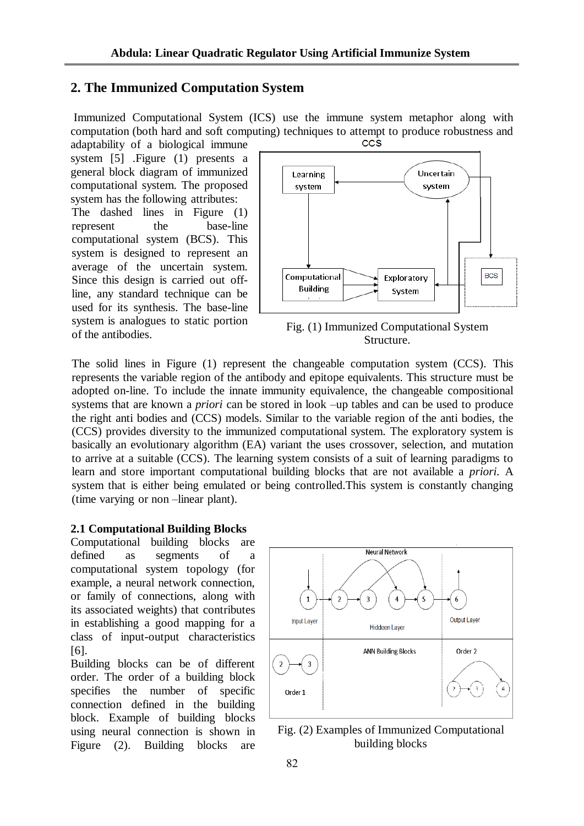# **2. The Immunized Computation System**

Immunized Computational System (ICS) use the immune system metaphor along with computation (both hard and soft computing) techniques to attempt to produce robustness and adaptability of a biological immune CCS

system [5] .Figure (1) presents a general block diagram of immunized computational system. The proposed system has the following attributes: The dashed lines in Figure (1) represent the base-line computational system (BCS). This system is designed to represent an average of the uncertain system. Since this design is carried out offline, any standard technique can be used for its synthesis. The base-line system is analogues to static portion of the antibodies.



Fig. (1) Immunized Computational System Structure.

The solid lines in Figure (1) represent the changeable computation system (CCS). This represents the variable region of the antibody and epitope equivalents. This structure must be adopted on-line. To include the innate immunity equivalence, the changeable compositional systems that are known a *priori* can be stored in look –up tables and can be used to produce the right anti bodies and (CCS) models. Similar to the variable region of the anti bodies, the (CCS) provides diversity to the immunized computational system. The exploratory system is basically an evolutionary algorithm (EA) variant the uses crossover, selection, and mutation to arrive at a suitable (CCS). The learning system consists of a suit of learning paradigms to learn and store important computational building blocks that are not available a *priori.* A system that is either being emulated or being controlled.This system is constantly changing (time varying or non –linear plant).

### **2.1 Computational Building Blocks**

Computational building blocks are defined as segments of a computational system topology (for example, a neural network connection, or family of connections, along with its associated weights) that contributes in establishing a good mapping for a class of input-output characteristics [6].

Building blocks can be of different order. The order of a building block specifies the number of specific connection defined in the building block. Example of building blocks using neural connection is shown in Figure (2). Building blocks are



Fig. (2) Examples of Immunized Computational building blocks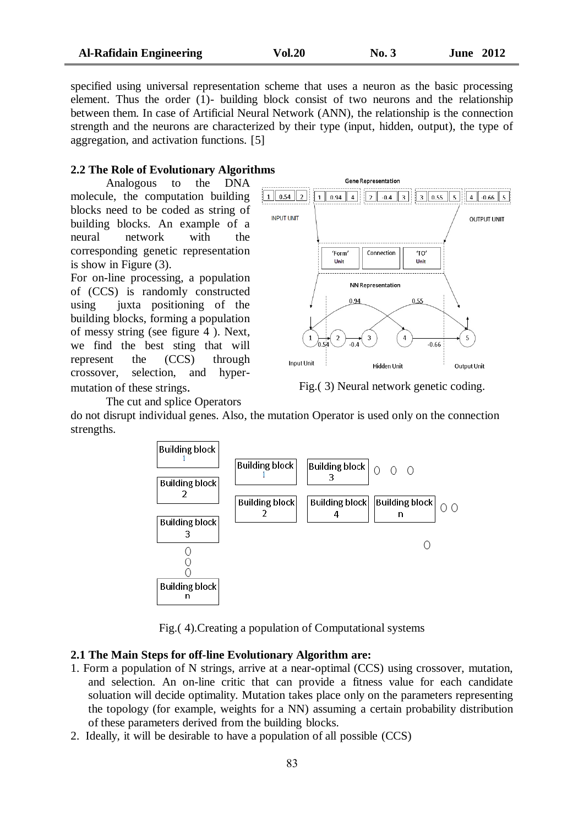specified using universal representation scheme that uses a neuron as the basic processing element. Thus the order (1)- building block consist of two neurons and the relationship between them. In case of Artificial Neural Network (ANN), the relationship is the connection strength and the neurons are characterized by their type (input, hidden, output), the type of aggregation, and activation functions. [5]

### **2.2 The Role of Evolutionary Algorithms**

Analogous to the DNA molecule, the computation building blocks need to be coded as string of building blocks. An example of a neural network with the corresponding genetic representation is show in Figure (3).

For on-line processing, a population of (CCS) is randomly constructed using juxta positioning of the building blocks, forming a population of messy string (see figure 4 ). Next, we find the best sting that will represent the (CCS) through crossover, selection, and hypermutation of these strings.

The cut and splice Operators



Fig.( 3) Neural network genetic coding.

do not disrupt individual genes. Also, the mutation Operator is used only on the connection strengths.



Fig.( 4).Creating a population of Computational systems

### **2.1 The Main Steps for off-line Evolutionary Algorithm are:**

- 1. Form a population of N strings, arrive at a near-optimal (CCS) using crossover, mutation, and selection. An on-line critic that can provide a fitness value for each candidate soluation will decide optimality. Mutation takes place only on the parameters representing the topology (for example, weights for a NN) assuming a certain probability distribution of these parameters derived from the building blocks.
- 2. Ideally, it will be desirable to have a population of all possible (CCS)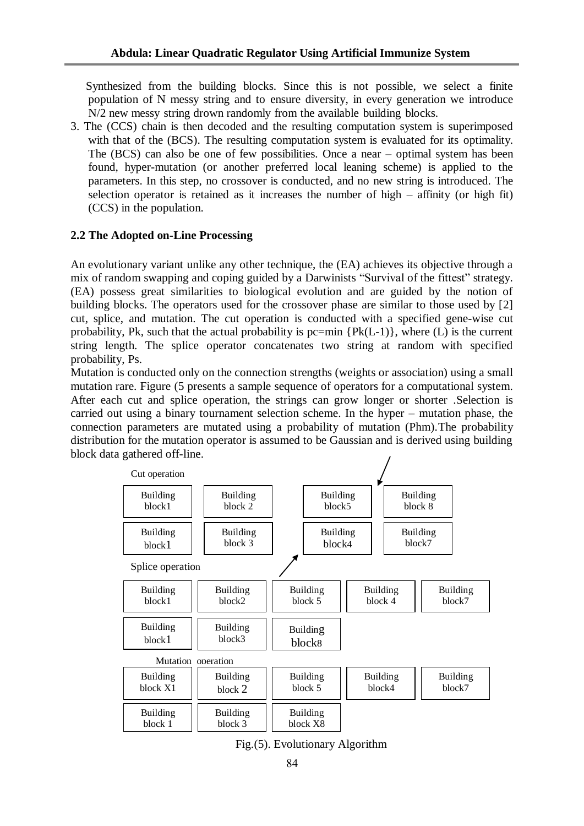Synthesized from the building blocks. Since this is not possible, we select a finite population of N messy string and to ensure diversity, in every generation we introduce N/2 new messy string drown randomly from the available building blocks.

3. The (CCS) chain is then decoded and the resulting computation system is superimposed with that of the (BCS). The resulting computation system is evaluated for its optimality. The (BCS) can also be one of few possibilities. Once a near – optimal system has been found, hyper-mutation (or another preferred local leaning scheme) is applied to the parameters. In this step, no crossover is conducted, and no new string is introduced. The selection operator is retained as it increases the number of high – affinity (or high fit) (CCS) in the population.

### **2.2 The Adopted on-Line Processing**

An evolutionary variant unlike any other technique, the (EA) achieves its objective through a mix of random swapping and coping guided by a Darwinists "Survival of the fittest" strategy. (EA) possess great similarities to biological evolution and are guided by the notion of building blocks. The operators used for the crossover phase are similar to those used by [2] cut, splice, and mutation. The cut operation is conducted with a specified gene-wise cut probability, Pk, such that the actual probability is pc=min  $\{Pk(L-1)\}\)$ , where (L) is the current string length. The splice operator concatenates two string at random with specified probability, Ps.

Mutation is conducted only on the connection strengths (weights or association) using a small mutation rare. Figure (5 presents a sample sequence of operators for a computational system. After each cut and splice operation, the strings can grow longer or shorter .Selection is carried out using a binary tournament selection scheme. In the hyper – mutation phase, the connection parameters are mutated using a probability of mutation (Phm).The probability distribution for the mutation operator is assumed to be Gaussian and is derived using building block data gathered off-line.



Fig.(5). Evolutionary Algorithm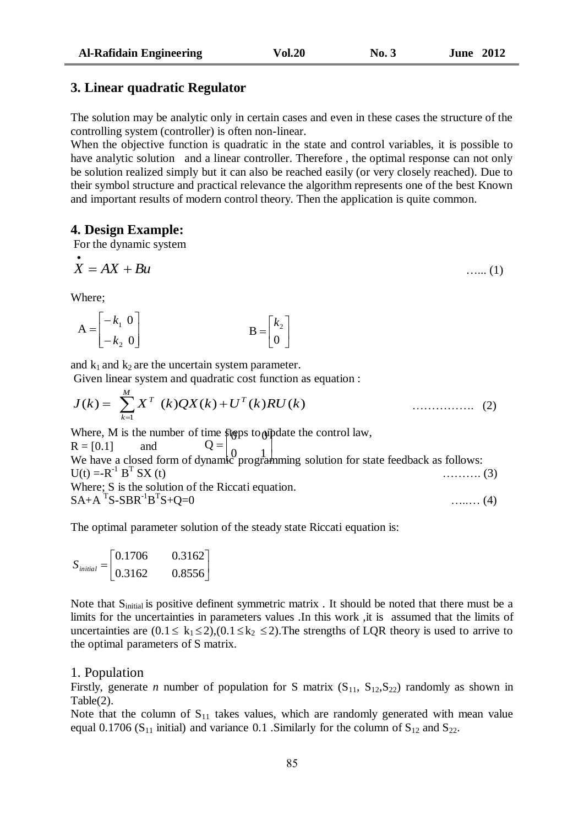### **3. Linear quadratic Regulator**

The solution may be analytic only in certain cases and even in these cases the structure of the controlling system (controller) is often non-linear.

When the objective function is quadratic in the state and control variables, it is possible to have analytic solution and a linear controller. Therefore , the optimal response can not only be solution realized simply but it can also be reached easily (or very closely reached). Due to their symbol structure and practical relevance the algorithm represents one of the best Known and important results of modern control theory. Then the application is quite common.

### **4. Design Example:**

For the dynamic system

$$
\mathbf{x} = AX + Bu \tag{1}
$$

Where;

$$
A = \begin{bmatrix} -k_1 & 0 \\ -k_2 & 0 \end{bmatrix} \qquad B = \begin{bmatrix} k_2 \\ 0 \end{bmatrix}
$$

and  $k_1$  and  $k_2$  are the uncertain system parameter.

Given linear system and quadratic cost function as equation :

$$
J(k) = \sum_{k=1}^{M} X^{T} (k)QX(k) + U^{T}(k)RU(k)
$$
 (2)

Where, M is the number of time  $\frac{1}{2}$  strong to  $\frac{1}{2}$  and the control law,

 $R = [0.1]$  and We have a closed form of dynamic programming solution for state feedback as follows:  $U(t) = -R^{-1} B^{T}$  $\ldots$  (3) Where; S is the solution of the Riccati equation.  $SA + A^T S - SBR^{-1}B^T$  $\ldots$ ...... (4)  $\overline{\phantom{a}}$ ┙  $\mathsf{I}$  $\begin{bmatrix} 0 & 1 \\ 0 & 0 \end{bmatrix}$  $Q =$ 

The optimal parameter solution of the steady state Riccati equation is:

$$
S_{initial} = \begin{bmatrix} 0.1706 & 0.3162 \\ 0.3162 & 0.8556 \end{bmatrix}
$$

Note that S<sub>initial</sub> is positive definent symmetric matrix . It should be noted that there must be a limits for the uncertainties in parameters values .In this work ,it is assumed that the limits of uncertainties are  $(0.1 \le k_1 \le 2)$ ,  $(0.1 \le k_2 \le 2)$ . The strengths of LQR theory is used to arrive to the optimal parameters of S matrix.

### 1. Population

Firstly, generate *n* number of population for S matrix  $(S_{11}, S_{12}, S_{22})$  randomly as shown in Table(2).

Note that the column of  $S_{11}$  takes values, which are randomly generated with mean value equal 0.1706 ( $S_{11}$  initial) and variance 0.1 . Similarly for the column of  $S_{12}$  and  $S_{22}$ .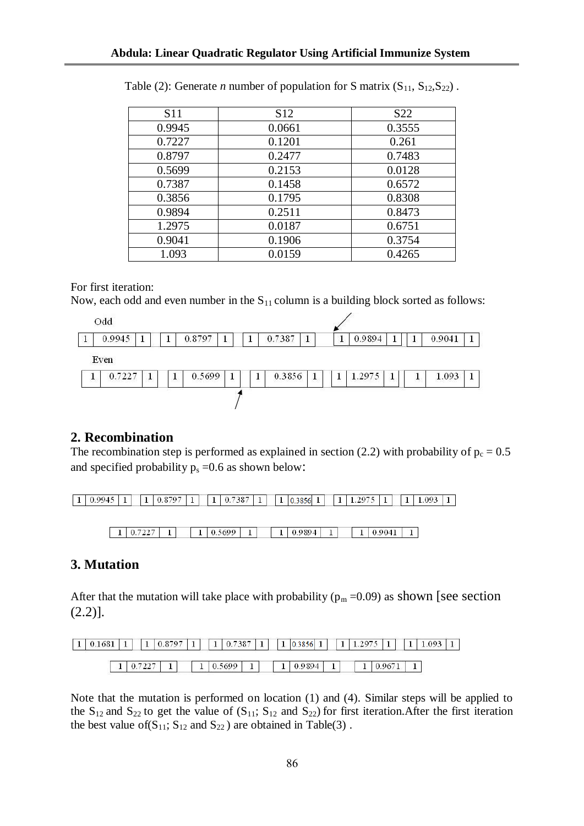| <b>S11</b> | S <sub>12</sub> | S <sub>22</sub> |
|------------|-----------------|-----------------|
| 0.9945     | 0.0661          | 0.3555          |
| 0.7227     | 0.1201          | 0.261           |
| 0.8797     | 0.2477          | 0.7483          |
| 0.5699     | 0.2153          | 0.0128          |
| 0.7387     | 0.1458          | 0.6572          |
| 0.3856     | 0.1795          | 0.8308          |
| 0.9894     | 0.2511          | 0.8473          |
| 1.2975     | 0.0187          | 0.6751          |
| 0.9041     | 0.1906          | 0.3754          |
| 1.093      | 0.0159          | 0.4265          |

| Table (2): Generate <i>n</i> number of population for S matrix $(S_{11}, S_{12}, S_{22})$ . |  |  |  |
|---------------------------------------------------------------------------------------------|--|--|--|
|---------------------------------------------------------------------------------------------|--|--|--|

### For first iteration:

Now, each odd and even number in the  $S_{11}$  column is a building block sorted as follows:



# **2. Recombination**

The recombination step is performed as explained in section (2.2) with probability of  $p_c = 0.5$ and specified probability  $p_s = 0.6$  as shown below:

 $1 | 0.5699 | 1$  $1 | 0.9894 |$  $1 | 0.9041 | 1$  $1 | 0.7227 | 1 |$  $\mathbf{1}$ 

# **3. Mutation**

After that the mutation will take place with probability ( $p_m = 0.09$ ) as shown [see section  $(2.2)$ ].

| $1 \mid 0.1681$ |        | 0.8797 | $1 \mid 0.7387 \mid 1 \mid$ |   | $ 1 $ 0.3856 $ 1 $ | $1 \mid 1.2975 \mid$ |        | 1.093 |  |
|-----------------|--------|--------|-----------------------------|---|--------------------|----------------------|--------|-------|--|
|                 | 0.7227 |        | $1 \mid 0.5699$             | ۰ | 0.9894             |                      | 0.9671 |       |  |

Note that the mutation is performed on location (1) and (4). Similar steps will be applied to the  $S_{12}$  and  $S_{22}$  to get the value of  $(S_{11}; S_{12}$  and  $S_{22})$  for first iteration. After the first iteration the best value of( $S_{11}$ ;  $S_{12}$  and  $S_{22}$ ) are obtained in Table(3).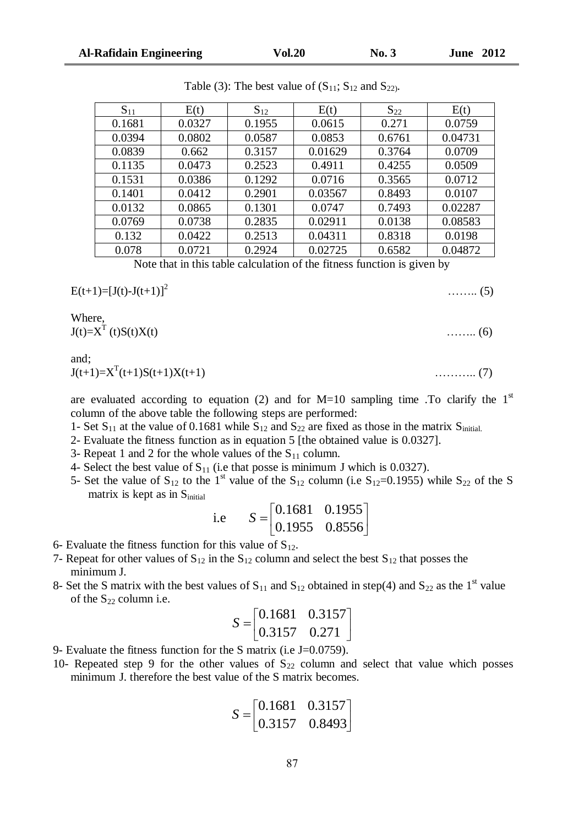$E(t+1)=[J(t)-J(t+1)]^2$ 

Where,

and;

are evaluated according to equation (2) and for  $M=10$  sampling time .To clarify the  $1<sup>st</sup>$ column of the above table the following steps are performed:

- 1- Set  $S_{11}$  at the value of 0.1681 while  $S_{12}$  and  $S_{22}$  are fixed as those in the matrix  $S_{initial}$ .
- 2- Evaluate the fitness function as in equation 5 [the obtained value is 0.0327].
- 3- Repeat 1 and 2 for the whole values of the  $S_{11}$  column.
- 4- Select the best value of  $S_{11}$  (i.e that posse is minimum J which is 0.0327).
- 5- Set the value of  $S_{12}$  to the 1<sup>st</sup> value of the  $S_{12}$  column (i.e  $S_{12}=0.1955$ ) while  $S_{22}$  of the S matrix is kept as in S<sub>initial</sub>

 $\overline{\phantom{a}}$ 

 $\overline{\phantom{a}}$ 

i.e 
$$
S = \begin{bmatrix} 0.1681 & 0.1955 \\ 0.1955 & 0.8556 \end{bmatrix}
$$

- 6- Evaluate the fitness function for this value of  $S_{12}$ .
- 7- Repeat for other values of  $S_{12}$  in the  $S_{12}$  column and select the best  $S_{12}$  that posses the minimum J.
- 8- Set the S matrix with the best values of  $S_{11}$  and  $S_{12}$  obtained in step(4) and  $S_{22}$  as the 1<sup>st</sup> value of the  $S_{22}$  column i.e.

$$
S = \begin{bmatrix} 0.1681 & 0.3157 \\ 0.3157 & 0.271 \end{bmatrix}
$$

- 9- Evaluate the fitness function for the S matrix (i.e J=0.0759).
- 10- Repeated step 9 for the other values of  $S_{22}$  column and select that value which posses minimum J. therefore the best value of the S matrix becomes.

$$
S = \begin{bmatrix} 0.1681 & 0.3157 \\ 0.3157 & 0.8493 \end{bmatrix}
$$

| $S_{11}$ | E(t)   | $S_{12}$ | E(t)    | $S_{22}$ | E(t)    |
|----------|--------|----------|---------|----------|---------|
| 0.1681   | 0.0327 | 0.1955   | 0.0615  | 0.271    | 0.0759  |
| 0.0394   | 0.0802 | 0.0587   | 0.0853  | 0.6761   | 0.04731 |
| 0.0839   | 0.662  | 0.3157   | 0.01629 | 0.3764   | 0.0709  |
| 0.1135   | 0.0473 | 0.2523   | 0.4911  | 0.4255   | 0.0509  |
| 0.1531   | 0.0386 | 0.1292   | 0.0716  | 0.3565   | 0.0712  |
| 0.1401   | 0.0412 | 0.2901   | 0.03567 | 0.8493   | 0.0107  |
| 0.0132   | 0.0865 | 0.1301   | 0.0747  | 0.7493   | 0.02287 |
| 0.0769   | 0.0738 | 0.2835   | 0.02911 | 0.0138   | 0.08583 |
| 0.132    | 0.0422 | 0.2513   | 0.04311 | 0.8318   | 0.0198  |
| 0.078    | 0.0721 | 0.2924   | 0.02725 | 0.6582   | 0.04872 |

Note that in this table calculation of the fitness function is given by

Table (3): The best value of  $(S_{11}; S_{12}$  and  $S_{22}$ .

…….. (5)

 $J(t)=X^T(t)S(t)X(t)$  ……... (6)

J(t+1)=X<sup>T</sup> (t+1)S(t+1)X(t+1) ……….. (7)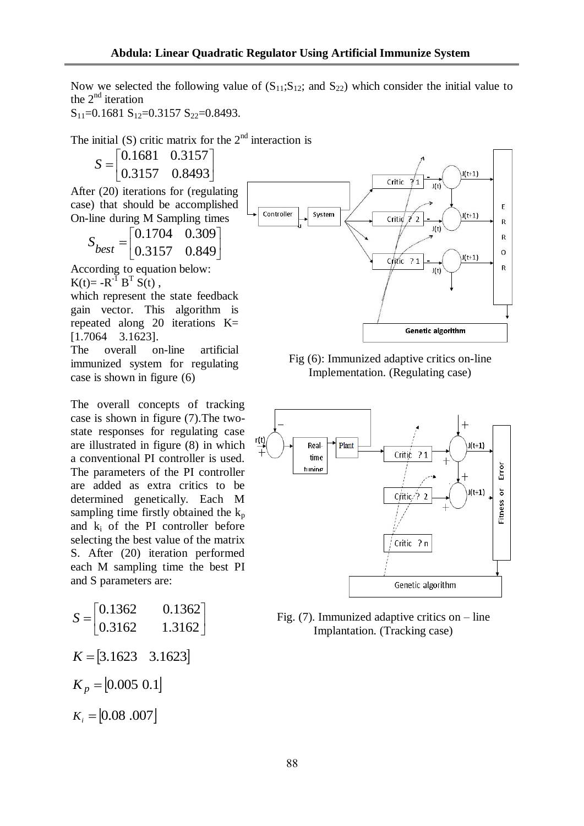Now we selected the following value of  $(S_{11};S_{12};$  and  $S_{22})$  which consider the initial value to the  $2<sup>nd</sup>$  iteration

 $S_{11}=0.1681 S_{12}=0.3157 S_{22}=0.8493.$ 

The initial  $(S)$  critic matrix for the  $2<sup>nd</sup>$  interaction is

 $\overline{\phantom{a}}$  $\rfloor$  $\overline{\phantom{a}}$  $\mathbf{r}$ L  $=$ 0.3157 0.8493  $S = \begin{bmatrix} 0.1681 & 0.3157 \\ 0.2157 & 0.8193 \end{bmatrix}$ 

After (20) iterations for (regulating case) that should be accomplished On-line during M Sampling times

> $\overline{\phantom{a}}$  $\frac{1}{2}$  $\overline{\phantom{a}}$  $\mathbf{r}$ L  $=$ 0.3157 0.849 0.1704 0.309 *best <sup>S</sup>*

According to equation below:  $K(t) = -R^{-1} B^{T} S(t)$ ,

which represent the state feedback gain vector. This algorithm is repeated along 20 iterations K= [1.7064 3.1623].

The overall on-line artificial immunized system for regulating case is shown in figure (6)

The overall concepts of tracking case is shown in figure (7).The twostate responses for regulating case are illustrated in figure (8) in which a conventional PI controller is used. The parameters of the PI controller are added as extra critics to be determined genetically. Each M sampling time firstly obtained the  $k_p$ and k<sup>i</sup> of the PI controller before selecting the best value of the matrix S. After (20) iteration performed each M sampling time the best PI and S parameters are:

$$
S = \begin{bmatrix} 0.1362 & 0.1362 \\ 0.3162 & 1.3162 \end{bmatrix}
$$
  
\n
$$
K = \begin{bmatrix} 3.1623 & 3.1623 \end{bmatrix}
$$
  
\n
$$
K_p = \begin{bmatrix} 0.005 & 0.1 \end{bmatrix}
$$
  
\n
$$
K_i = \begin{bmatrix} 0.08 & 0.007 \end{bmatrix}
$$







Fig. (7). Immunized adaptive critics on – line Implantation. (Tracking case)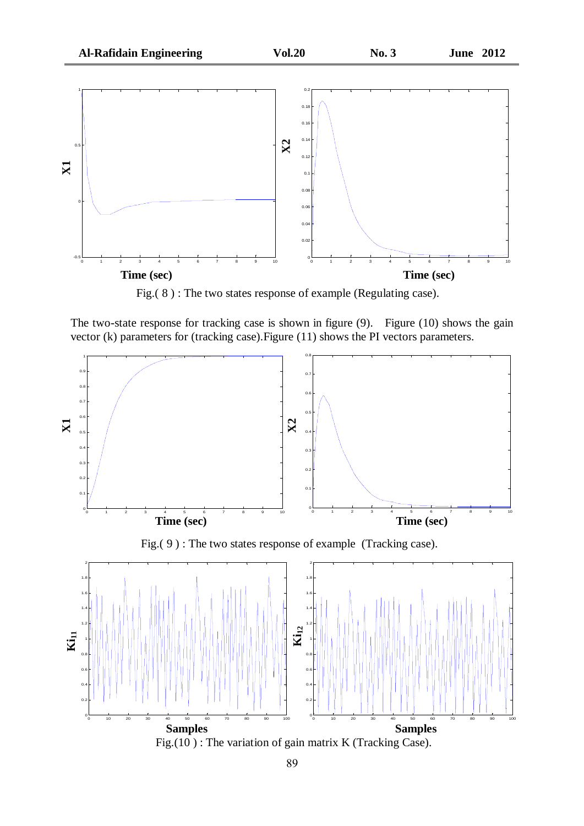

Fig.( 8 ) : The two states response of example (Regulating case).

The two-state response for tracking case is shown in figure (9). Figure (10) shows the gain vector (k) parameters for (tracking case).Figure (11) shows the PI vectors parameters.

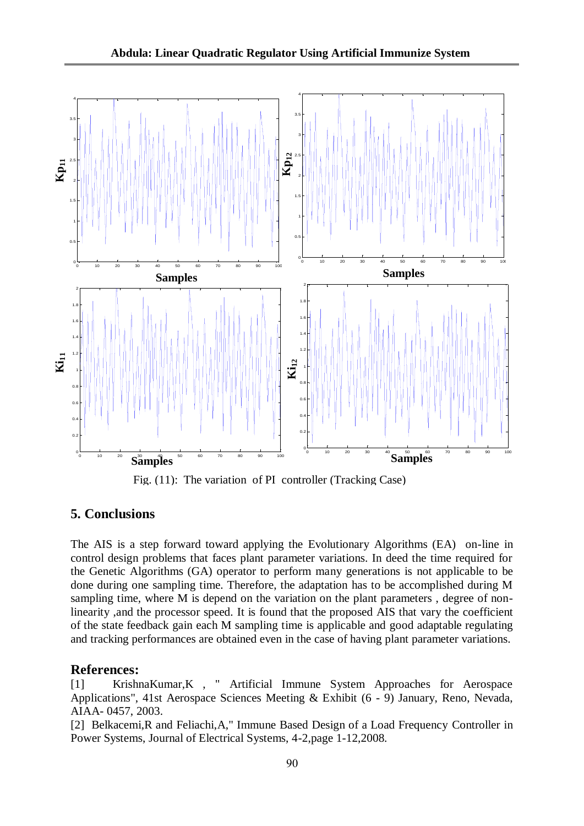

Fig. (11): The variation of PI controller (Tracking Case)

# **5. Conclusions**

The AIS is a step forward toward applying the Evolutionary Algorithms (EA) on-line in control design problems that faces plant parameter variations. In deed the time required for the Genetic Algorithms (GA) operator to perform many generations is not applicable to be done during one sampling time. Therefore, the adaptation has to be accomplished during M sampling time, where M is depend on the variation on the plant parameters , degree of nonlinearity ,and the processor speed. It is found that the proposed AIS that vary the coefficient of the state feedback gain each M sampling time is applicable and good adaptable regulating and tracking performances are obtained even in the case of having plant parameter variations.

# **References:**

[1] KrishnaKumar,K , " Artificial Immune System Approaches for Aerospace Applications", 41st Aerospace Sciences Meeting & Exhibit (6 - 9) January, Reno, Nevada, AIAA- 0457, 2003.

[2] Belkacemi, R and Feliachi, A," Immune Based Design of a Load Frequency Controller in Power Systems, Journal of Electrical Systems, 4-2,page 1-12,2008.